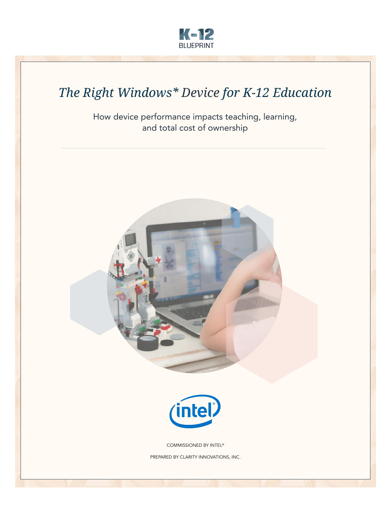

# *The Right Windows\* Device for K-12 Education*

How device performance impacts teaching, learning, and total cost of ownership

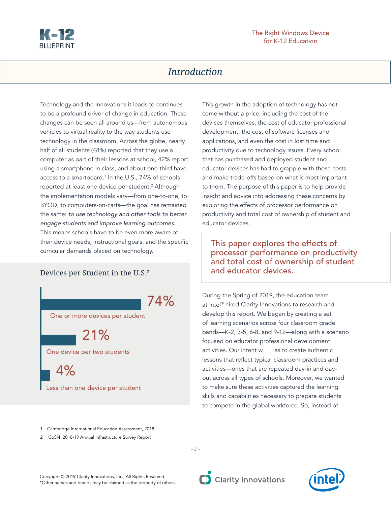

# *Introduction*

Technology and the innovations it leads to continues to be a profound driver of change in education. These changes can be seen all around us—from autonomous vehicles to virtual reality to the way students use technology in the classroom. Across the globe, nearly half of all students (48%) reported that they use a computer as part of their lessons at school, 42% report using a smartphone in class, and about one-third have access to a smartboard.<sup>1</sup> In the U.S., 74% of schools reported at least one device per student.<sup>2</sup> Although the implementation models vary—from one-to-one, to BYOD, to computers-on-carts—the goal has remained the same: *to use technology and other tools to better engage students and improve learning outcomes*. This means schools have to be even more aware of their device needs, instructional goals, and the specific curricular demands placed on technology.

Devices per Student in the U.S.2

74%

One or more devices per student

21%

One device per two students

 $4%$ Less than one device per student This growth in the adoption of technology has not come without a price, including the cost of the devices themselves, the cost of educator professional development, the cost of software licenses and applications, and even the cost in lost time and productivity due to technology issues. Every school that has purchased and deployed student and educator devices has had to grapple with those costs and make trade-offs based on what is most important to them. The purpose of this paper is to help provide insight and advice into addressing these concerns by exploring the effects of processor performance on productivity and total cost of ownership of student and educator devices.

This paper explores the effects of processor performance on productivity and total cost of ownership of student and educator devices.

During the Spring of 2019, the education team at Intel® hired Clarity Innovations to research and develop this report. We began by creating a set of learning scenarios across four classroom grade bands—K-2, 3-5, 6-8, and 9-12—along with a scenario focused on educator professional development activities. Our intent w as to create authentic lessons that reflect typical classroom practices and activities—ones that are repeated day-in and dayout across all types of schools. Moreover, we wanted to make sure these activities captured the learning skills and capabilities necessary to prepare students to compete in the global workforce. So, instead of

1 Cambridge International Education Assessment, 2018

2 CoSN, 2018-19 Annual Infrastructure Survey Report

*– 2 –*

Copyright © 2019 Clarity Innovations, Inc., All Rights Reserved. \*Other names and brands may be claimed as the property of others.



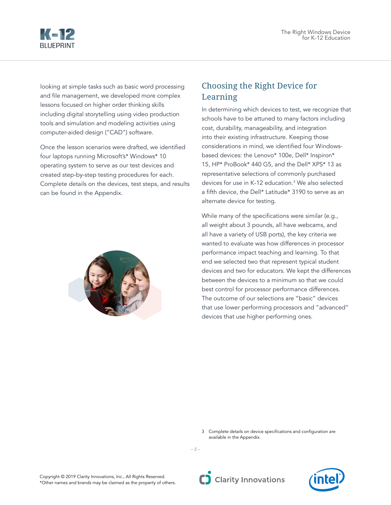

looking at simple tasks such as basic word processing and file management, we developed more complex lessons focused on higher order thinking skills including digital storytelling using video production tools and simulation and modeling activities using computer-aided design ("CAD") software.

Once the lesson scenarios were drafted, we identified four laptops running Microsoft's\* Windows\* 10 operating system to serve as our test devices and created step-by-step testing procedures for each. Complete details on the devices, test steps, and results can be found in the Appendix.



# Choosing the Right Device for Learning

In determining which devices to test, we recognize that schools have to be attuned to many factors including cost, durability, manageability, and integration into their existing infrastructure. Keeping those considerations in mind, we identified four Windowsbased devices: the Lenovo\* 100e, Dell\* Inspiron\* 15, HP\* ProBook\* 440 G5, and the Dell\* XPS\* 13 as representative selections of commonly purchased devices for use in K-12 education.3 We also selected a fifth device, the Dell\* Latitude\* 3190 to serve as an alternate device for testing.

While many of the specifications were similar (e.g., all weight about 3 pounds, all have webcams, and all have a variety of USB ports), the key criteria we wanted to evaluate was how differences in processor performance impact teaching and learning. To that end we selected two that represent typical student devices and two for educators. We kept the differences between the devices to a minimum so that we could best control for processor performance differences. The outcome of our selections are "basic" devices that use lower performing processors and "advanced" devices that use higher performing ones.

3 Complete details on device specifications and configuration are available in the Appendix.



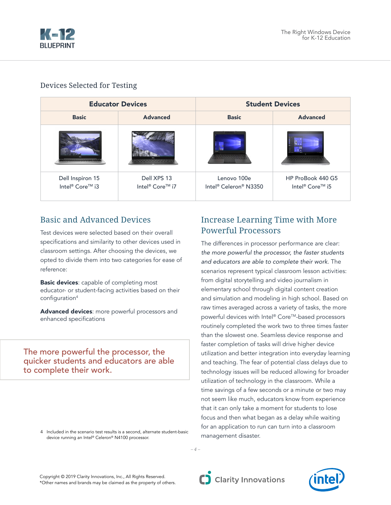

# Devices Selected for Testing

|                                                 | <b>Educator Devices</b>                    | <b>Student Devices</b>               |                                                  |  |  |  |  |
|-------------------------------------------------|--------------------------------------------|--------------------------------------|--------------------------------------------------|--|--|--|--|
| <b>Basic</b>                                    | <b>Advanced</b>                            | <b>Basic</b>                         | <b>Advanced</b>                                  |  |  |  |  |
|                                                 |                                            |                                      |                                                  |  |  |  |  |
| Dell Inspiron 15<br>Intel <sup>®</sup> Core™ i3 | Dell XPS 13<br>Intel <sup>®</sup> Core™ i7 | Lenovo 100e<br>Intel® Celeron® N3350 | HP ProBook 440 G5<br>Intel <sup>®</sup> Core™ i5 |  |  |  |  |

# Basic and Advanced Devices

Test devices were selected based on their overall specifications and similarity to other devices used in classroom settings. After choosing the devices, we opted to divide them into two categories for ease of reference:

**Basic devices:** capable of completing most educator- or student-facing activities based on their configuration<sup>4</sup>

Advanced devices: more powerful processors and enhanced specifications

The more powerful the processor, the quicker students and educators are able to complete their work.

> 4 Included in the scenario test results is a second, alternate student-basic device running an Intel® Celeron® N4100 processor.

# Increase Learning Time with More Powerful Processors

The differences in processor performance are clear: *the more powerful the processor, the faster students and educators are able to complete their work*. The scenarios represent typical classroom lesson activities: from digital storytelling and video journalism in elementary school through digital content creation and simulation and modeling in high school. Based on raw times averaged across a variety of tasks, the more powerful devices with Intel® Core™-based processors routinely completed the work two to three times faster than the slowest one. Seamless device response and faster completion of tasks will drive higher device utilization and better integration into everyday learning and teaching. The fear of potential class delays due to technology issues will be reduced allowing for broader utilization of technology in the classroom. While a time savings of a few seconds or a minute or two may not seem like much, educators know from experience that it can only take a moment for students to lose focus and then what began as a delay while waiting for an application to run can turn into a classroom management disaster.

Copyright © 2019 Clarity Innovations, Inc., All Rights Reserved. \*Other names and brands may be claimed as the property of others.

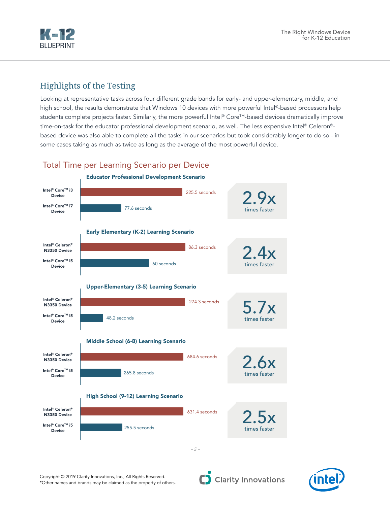

# Highlights of the Testing

Looking at representative tasks across four different grade bands for early- and upper-elementary, middle, and high school, the results demonstrate that Windows 10 devices with more powerful Intel®-based processors help students complete projects faster. Similarly, the more powerful Intel® Core™-based devices dramatically improve time-on-task for the educator professional development scenario, as well. The less expensive Intel® Celeron®based device was also able to complete all the tasks in our scenarios but took considerably longer to do so - in some cases taking as much as twice as long as the average of the most powerful device.

# Total Time per Learning Scenario per Device





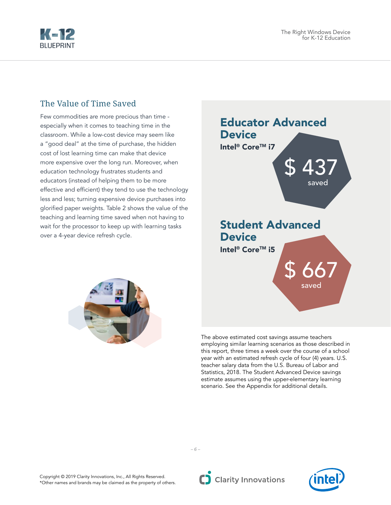

# The Value of Time Saved

Few commodities are more precious than time especially when it comes to teaching time in the classroom. While a low-cost device may seem like a "good deal" at the time of purchase, the hidden cost of lost learning time can make that device more expensive over the long run. Moreover, when education technology frustrates students and educators (instead of helping them to be more effective and efficient) they tend to use the technology less and less; turning expensive device purchases into glorified paper weights. Table 2 shows the value of the teaching and learning time saved when not having to wait for the processor to keep up with learning tasks over a 4-year device refresh cycle.







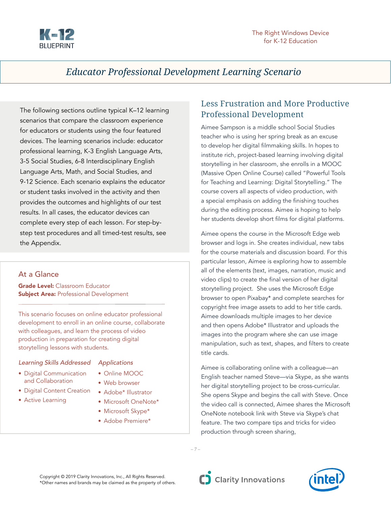

# *Educator Professional Development Learning Scenario*

The following sections outline typical K–12 learning scenarios that compare the classroom experience for educators or students using the four featured devices. The learning scenarios include: educator professional learning, K-3 English Language Arts, 3-5 Social Studies, 6-8 Interdisciplinary English Language Arts, Math, and Social Studies, and 9-12 Science. Each scenario explains the educator or student tasks involved in the activity and then provides the outcomes and highlights of our test results. In all cases, the educator devices can complete every step of each lesson. For step-bystep test procedures and all timed-test results, see the Appendix.

# At a Glance

**Grade Level: Classroom Educator Subject Area: Professional Development** 

This scenario focuses on online educator professional development to enroll in an online course, collaborate with colleagues, and learn the process of video production in preparation for creating digital storytelling lessons with students.

#### *Learning Skills Addressed*

- Digital Communication and Collaboration
- Digital Content Creation
- Active Learning

#### *Applications*

- Online MOOC
- Web browser
- Adobe\* Illustrator
- Microsoft OneNote\*
- Microsoft Skype\*
- Adobe Premiere\*

# Less Frustration and More Productive Professional Development

Aimee Sampson is a middle school Social Studies teacher who is using her spring break as an excuse to develop her digital filmmaking skills. In hopes to institute rich, project-based learning involving digital storytelling in her classroom, she enrolls in a MOOC (Massive Open Online Course) called "Powerful Tools for Teaching and Learning: Digital Storytelling." The course covers all aspects of video production, with a special emphasis on adding the finishing touches during the editing process. Aimee is hoping to help her students develop short films for digital platforms.

Aimee opens the course in the Microsoft Edge web browser and logs in. She creates individual, new tabs for the course materials and discussion board. For this particular lesson, Aimee is exploring how to assemble all of the elements (text, images, narration, music and video clips) to create the final version of her digital storytelling project. She uses the Microsoft Edge browser to open Pixabay\* and complete searches for copyright free image assets to add to her title cards. Aimee downloads multiple images to her device and then opens Adobe\* Illustrator and uploads the images into the program where she can use image manipulation, such as text, shapes, and filters to create title cards.

Aimee is collaborating online with a colleague—an English teacher named Steve—via Skype, as she wants her digital storytelling project to be cross-curricular. She opens Skype and begins the call with Steve. Once the video call is connected, Aimee shares the Microsoft OneNote notebook link with Steve via Skype's chat feature. The two compare tips and tricks for video production through screen sharing,

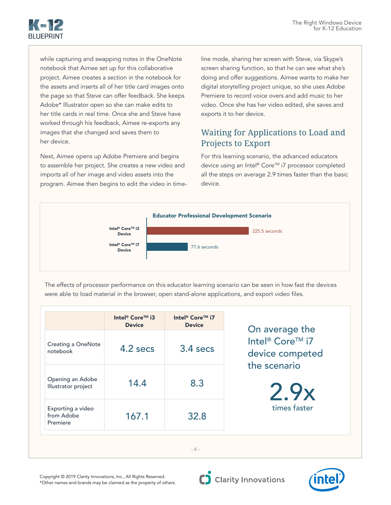

while capturing and swapping notes in the OneNote notebook that Aimee set up for this collaborative project. Aimee creates a section in the notebook for the assets and inserts all of her title card images onto the page so that Steve can offer feedback. She keeps Adobe\* Illustrator open so she can make edits to her title cards in real time. Once she and Steve have worked through his feedback, Aimee re-exports any images that she changed and saves them to her device.

Next, Aimee opens up Adobe Premiere and begins to assemble her project. She creates a new video and imports all of her image and video assets into the program. Aimee then begins to edit the video in time-

Device

line mode, sharing her screen with Steve, via Skype's screen sharing function, so that he can see what she's doing and offer suggestions. Aimee wants to make her digital storytelling project unique, so she uses Adobe Premiere to record voice overs and add music to her video. Once she has her video edited, she saves and exports it to her device.

# Waiting for Applications to Load and Projects to Export

For this learning scenario, the advanced educators device using an Intel® Core™ i7 processor completed all the steps on average 2.9 times faster than the basic device.



The effects of processor performance on this educator learning scenario can be seen in how fast the devices<br>were able to load material in the browser, open stand-alone applications, and export video files. were able to load material in the browser, open stand-alone applications, and export video files.

|                                             | Intel <sup>®</sup> Core™ i3<br><b>Device</b> | Intel <sup>®</sup> Core <sup>™</sup> i7<br><b>Device</b> | On average the                                                 |
|---------------------------------------------|----------------------------------------------|----------------------------------------------------------|----------------------------------------------------------------|
| <b>Creating a OneNote</b><br>notebook       | 4.2 secs                                     | $3.4$ secs                                               | Intel <sup>®</sup> Core™ i7<br>device competed<br>the scenario |
| Opening an Adobe<br>Illustrator project     | 14.4                                         | 8.3                                                      | 2.9x                                                           |
| Exporting a video<br>from Adobe<br>Premiere | 167.1                                        | 32.8                                                     | times faster                                                   |

Copyright © 2019 Clarity Innovations, Inc., All Rights Reserved. \*Other names and brands may be claimed as the property of others.

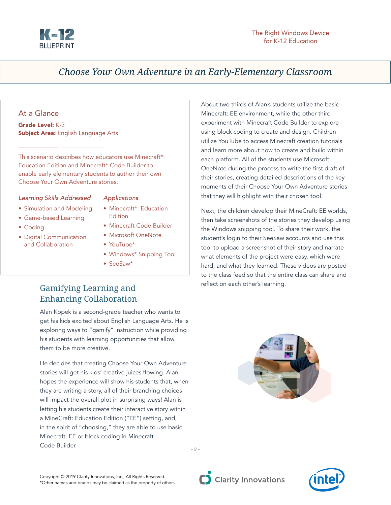

About two thirds of Alan's students utilize the basic Minecraft: EE environment, while the other third experiment with Minecraft Code Builder to explore using block coding to create and design. Children utilize YouTube to access Minecraft creation tutorials and learn more about how to create and build within each platform. All of the students use Microsoft OneNote during the process to write the first draft of their stories, creating detailed descriptions of the key moments of their Choose Your Own Adventure stories

that they will highlight with their chosen tool.

reflect on each other's learning.

Next, the children develop their MineCraft: EE worlds, then take screenshots of the stories they develop using the Windows snipping tool. To share their work, the student's login to their SeeSaw accounts and use this tool to upload a screenshot of their story and narrate what elements of the project were easy, which were hard, and what they learned. These videos are posted to the class feed so that the entire class can share and

# *Choose Your Own Adventure in an Early-Elementary Classroom*

# At a Glance

Grade Level: K-3 **Subject Area: English Language Arts** 

This scenario describes how educators use Minecraft\*: Education Edition and Minecraft\* Code Builder to enable early elementary students to author their own Choose Your Own Adventure stories.

#### *Learning Skills Addressed*

- Simulation and Modeling
- Game-based Learning
- Coding
- Digital Communication and Collaboration

#### *Applications*

- Minecraft\*: Education Edition
- Minecraft Code Builder
- Microsoft OneNote
- YouTube\*
- Windows\* Snipping Tool
- SeeSaw\*

# Gamifying Learning and Enhancing Collaboration

Alan Kopek is a second-grade teacher who wants to get his kids excited about English Language Arts. He is exploring ways to "gamify" instruction while providing his students with learning opportunities that allow them to be more creative.

He decides that creating Choose Your Own Adventure stories will get his kids' creative juices flowing. Alan hopes the experience will show his students that, when they are writing a story, all of their branching choices will impact the overall plot in surprising ways! Alan is letting his students create their interactive story within a MineCraft: Education Edition ("EE") setting, and, in the spirit of "choosing," they are able to use basic Minecraft: EE or block coding in Minecraft Code Builder.



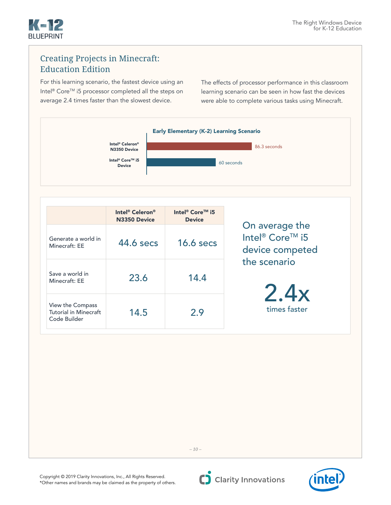

#### Creating Projects in Minecraft: Education Edition Total Time per Learning Scenario per Device<br>Time per Device per Device per Device per Device per Device per Device per Device per Device per Device per D

For this learning scenario, the fastest device using an Intel® Core™ i5 processor completed all the steps on average 2.4 times faster than the slowest device. Device

The effects of processor performance in this classroom learning scenario can be seen in how fast the devices learning scenario can be seen in how fast the device:<br>were able to complete various tasks using Minecraft.



|                                                                  | Intel <sup>®</sup> Celeron <sup>®</sup><br>N3350 Device | Intel <sup>®</sup> Core™ i5<br><b>Device</b> |                                                                  |
|------------------------------------------------------------------|---------------------------------------------------------|----------------------------------------------|------------------------------------------------------------------|
| Generate a world in<br>Minecraft: EE                             | 44.6 secs                                               | $16.6$ secs                                  | On average the<br>Intel <sup>®</sup> Core™ i5<br>device competed |
| Save a world in<br>Minecraft: EE                                 | 23.6                                                    | 14.4                                         | the scenario                                                     |
| View the Compass<br><b>Tutorial in Minecraft</b><br>Code Builder | 14.5                                                    | 2.9                                          | 2.4x<br>times faster                                             |



*– 10 –*

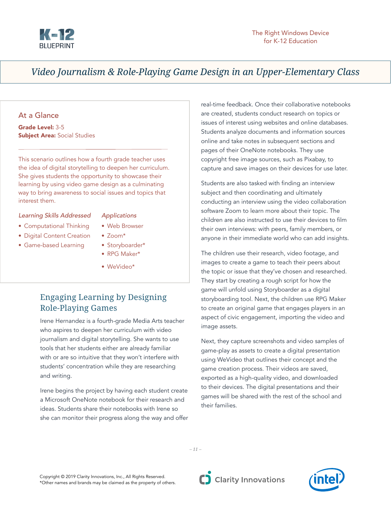

# *Video Journalism & Role-Playing Game Design in an Upper-Elementary Class*

# At a Glance

Grade Level: 3-5 **Subject Area: Social Studies** 

This scenario outlines how a fourth grade teacher uses the idea of digital storytelling to deepen her curriculum. She gives students the opportunity to showcase their learning by using video game design as a culminating way to bring awareness to social issues and topics that interest them.

# *Learning Skills Addressed*

### *Applications* • Web Browser

• Zoom\*

- Computational Thinking
- Digital Content Creation
- Game-based Learning
- Storyboarder\* • RPG Maker\*
- WeVideo\*

# Engaging Learning by Designing Role-Playing Games

Irene Hernandez is a fourth-grade Media Arts teacher who aspires to deepen her curriculum with video journalism and digital storytelling. She wants to use tools that her students either are already familiar with or are so intuitive that they won't interfere with students' concentration while they are researching and writing.

Irene begins the project by having each student create a Microsoft OneNote notebook for their research and ideas. Students share their notebooks with Irene so she can monitor their progress along the way and offer real-time feedback. Once their collaborative notebooks are created, students conduct research on topics or issues of interest using websites and online databases. Students analyze documents and information sources online and take notes in subsequent sections and pages of their OneNote notebooks. They use copyright free image sources, such as Pixabay, to capture and save images on their devices for use later.

Students are also tasked with finding an interview subject and then coordinating and ultimately conducting an interview using the video collaboration software Zoom to learn more about their topic. The children are also instructed to use their devices to film their own interviews: with peers, family members, or anyone in their immediate world who can add insights.

The children use their research, video footage, and images to create a game to teach their peers about the topic or issue that they've chosen and researched. They start by creating a rough script for how the game will unfold using Storyboarder as a digital storyboarding tool. Next, the children use RPG Maker to create an original game that engages players in an aspect of civic engagement, importing the video and image assets.

Next, they capture screenshots and video samples of game-play as assets to create a digital presentation using WeVideo that outlines their concept and the game creation process. Their videos are saved, exported as a high-quality video, and downloaded to their devices. The digital presentations and their games will be shared with the rest of the school and their families.

*– 11 –*



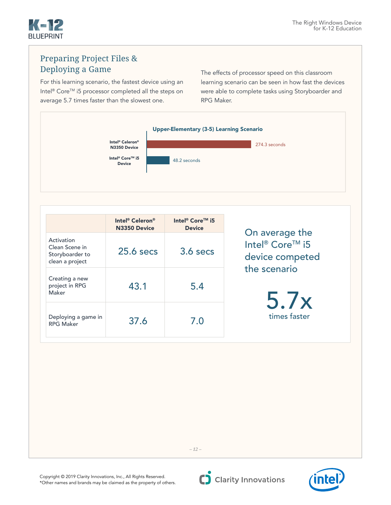

2.9x

# Preparing Project Files & Deploying a Game

For this learning scenario, the fastest device using an Intel® Core™ i5 processor completed all the steps on average 5.7 times faster than the slowest one. completed

The effects of processor speed on this classroom learning scenario can be seen in how fast the devices were able to complete tasks using Storyboarder and<br>RPG Maker. RPG Maker.





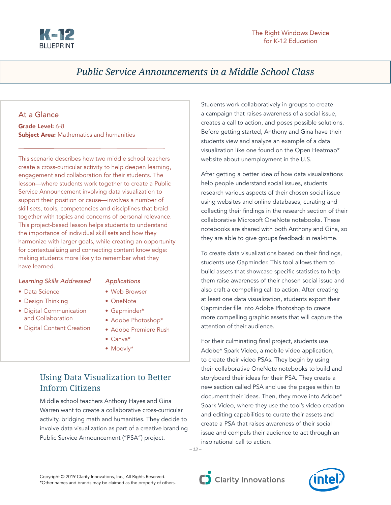

# *Public Service Announcements in a Middle School Class*

# At a Glance

Grade Level: 6-8 **Subject Area:** Mathematics and humanities

This scenario describes how two middle school teachers create a cross-curricular activity to help deepen learning, engagement and collaboration for their students. The lesson—where students work together to create a Public Service Announcement involving data visualization to support their position or cause—involves a number of skill sets, tools, competencies and disciplines that braid together with topics and concerns of personal relevance. This project-based lesson helps students to understand the importance of individual skill sets and how they harmonize with larger goals, while creating an opportunity for contextualizing and connecting content knowledge: making students more likely to remember what they have learned.

#### *Learning Skills Addressed*

# *Applications*

- Data Science • Design Thinking
- Web Browser
- Digital Communication and Collaboration
- Digital Content Creation
- OneNote
- Gapminder\*
- Adobe Photoshop\*
- Adobe Premiere Rush
- Canva\*
- Moovly\*

# Using Data Visualization to Better Inform Citizens

Middle school teachers Anthony Hayes and Gina Warren want to create a collaborative cross-curricular activity, bridging math and humanities. They decide to involve data visualization as part of a creative branding Public Service Announcement ("PSA") project.

Students work collaboratively in groups to create a campaign that raises awareness of a social issue, creates a call to action, and poses possible solutions. Before getting started, Anthony and Gina have their students view and analyze an example of a data visualization like one found on the Open Heatmap\* website about unemployment in the U.S.

After getting a better idea of how data visualizations help people understand social issues, students research various aspects of their chosen social issue using websites and online databases, curating and collecting their findings in the research section of their collaborative Microsoft OneNote notebooks. These notebooks are shared with both Anthony and Gina, so they are able to give groups feedback in real-time.

To create data visualizations based on their findings, students use Gapminder. This tool allows them to build assets that showcase specific statistics to help them raise awareness of their chosen social issue and also craft a compelling call to action. After creating at least one data visualization, students export their Gapminder file into Adobe Photoshop to create more compelling graphic assets that will capture the attention of their audience.

For their culminating final project, students use Adobe\* Spark Video, a mobile video application, to create their video PSAs. They begin by using their collaborative OneNote notebooks to build and storyboard their ideas for their PSA. They create a new section called PSA and use the pages within to document their ideas. Then, they move into Adobe\* Spark Video, where they use the tool's video creation and editing capabilities to curate their assets and create a PSA that raises awareness of their social issue and compels their audience to act through an inspirational call to action.

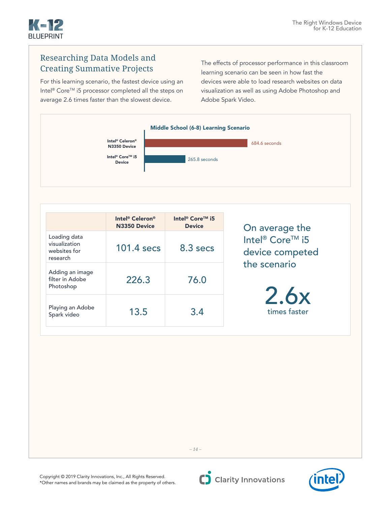

2.4x2<br>2.4x2<br>2.4x2

2.5x

# Researching Data Models and Creating Summative Projects

For this learning scenario, the fastest device using an Intel® Core™ i5 processor completed all the steps on average 2.6 times faster than the slowest device. r compiete

The effects of processor performance in this classroom **Property** consider the learning scenario can be seen in how fast the devices were able to load research websites on data visualization as well as using Adobe Photoshop and<br>Adobe Spark Video. Adobe Spark Video.



|                                                           | Intel <sup>®</sup> Celeron <sup>®</sup><br>N3350 Device | Intel <sup>®</sup> Core™ i5<br><b>Device</b> |  |  |  |  |
|-----------------------------------------------------------|---------------------------------------------------------|----------------------------------------------|--|--|--|--|
| Loading data<br>visualization<br>websites for<br>research | $101.4$ secs                                            | 8.3 secs                                     |  |  |  |  |
| Adding an image<br>filter in Adobe<br>Photoshop           | 226.3                                                   | 76.0                                         |  |  |  |  |
| Playing an Adobe<br>Spark video                           | 13.5                                                    | 3.4                                          |  |  |  |  |

On average the Intel<sup>®</sup> Core™ i5 device competed the scenario

> 2.6x times faster

Copyright © 2019 Clarity Innovations, Inc., All Rights Reserved. \*Other names and brands may be claimed as the property of others.



*– 14 –*

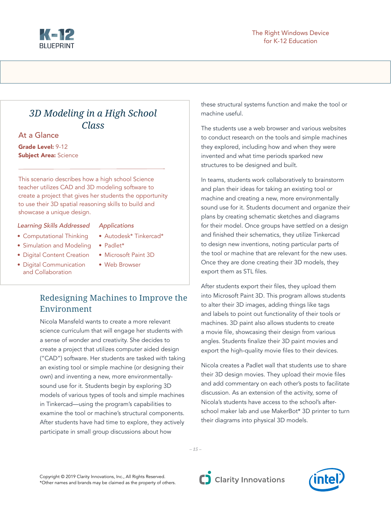

# *3D Modeling in a High School Class*

At a Glance

Grade Level: 9-12 **Subject Area: Science** 

This scenario describes how a high school Science teacher utilizes CAD and 3D modeling software to create a project that gives her students the opportunity to use their 3D spatial reasoning skills to build and showcase a unique design.

#### *Learning Skills Addressed*

- Computational Thinking
- Simulation and Modeling
- Digital Content Creation
- Digital Communication and Collaboration
- *Applications*
- Autodesk\* Tinkercad\*
- Padlet\*
- Microsoft Paint 3D
- Web Browser

# Redesigning Machines to Improve the Environment

Nicola Mansfeld wants to create a more relevant science curriculum that will engage her students with a sense of wonder and creativity. She decides to create a project that utilizes computer aided design ("CAD") software. Her students are tasked with taking an existing tool or simple machine (or designing their own) and inventing a new, more environmentallysound use for it. Students begin by exploring 3D models of various types of tools and simple machines in Tinkercad—using the program's capabilities to examine the tool or machine's structural components. After students have had time to explore, they actively participate in small group discussions about how

these structural systems function and make the tool or machine useful.

The students use a web browser and various websites to conduct research on the tools and simple machines they explored, including how and when they were invented and what time periods sparked new structures to be designed and built.

In teams, students work collaboratively to brainstorm and plan their ideas for taking an existing tool or machine and creating a new, more environmentally sound use for it. Students document and organize their plans by creating schematic sketches and diagrams for their model. Once groups have settled on a design and finished their schematics, they utilize Tinkercad to design new inventions, noting particular parts of the tool or machine that are relevant for the new uses. Once they are done creating their 3D models, they export them as STL files.

After students export their files, they upload them into Microsoft Paint 3D. This program allows students to alter their 3D images, adding things like tags and labels to point out functionality of their tools or machines. 3D paint also allows students to create a movie file, showcasing their design from various angles. Students finalize their 3D paint movies and export the high-quality movie files to their devices.

Nicola creates a Padlet wall that students use to share their 3D design movies. They upload their movie files and add commentary on each other's posts to facilitate discussion. As an extension of the activity, some of Nicola's students have access to the school's afterschool maker lab and use MakerBot\* 3D printer to turn their diagrams into physical 3D models.

*– 15 –*

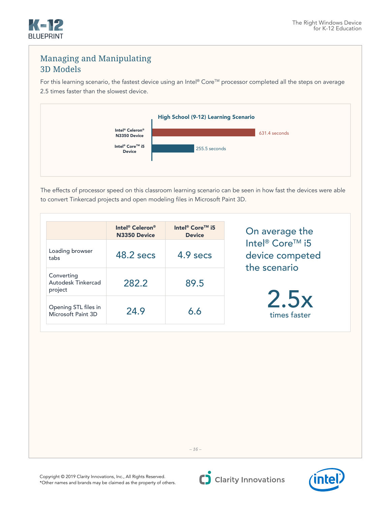

# Managing and Manipulating 3D Models

For this learning scenario, the fastest device using an Intel® Core™ processor completed all the steps on average<br>2.5 times faster than the slowest device. 2.5 times faster than the slowest device.



The effects of processor speed on this classroom learning scenario can be seen in how fast the devices were able to convert Tinkercad projects and open modeling files in Microsoft Paint 3D.

|                                             | Intel <sup>®</sup> Celeron <sup>®</sup><br>N3350 Device | Intel <sup>®</sup> Core™ i5<br><b>Device</b> | On average the                                                 |
|---------------------------------------------|---------------------------------------------------------|----------------------------------------------|----------------------------------------------------------------|
| Loading browser<br>tabs                     | 48.2 secs                                               | 4.9 secs                                     | Intel <sup>®</sup> Core™ i5<br>device competed<br>the scenario |
| Converting<br>Autodesk Tinkercad<br>project | 282.2                                                   | 89.5                                         |                                                                |
| Opening STL files in<br>Microsoft Paint 3D  | 24.9                                                    | 6.6                                          | 2.5x<br>times faster                                           |



*– 16 –*

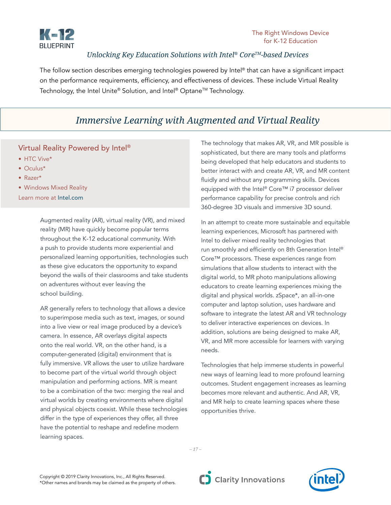

# *Unlocking Key Education Solutions with Intel® CoreTM-based Devices*

The follow section describes emerging technologies powered by Intel® that can have a significant impact on the performance requirements, efficiency, and effectiveness of devices. These include Virtual Reality Technology, the Intel Unite® Solution, and Intel® Optane™ Technology.

# *Immersive Learning with Augmented and Virtual Reality*

# Virtual Reality Powered by Intel®

- HTC Vive\*
- Oculus\*
- Razer\*
- Windows Mixed Reality

Learn more at [Intel.com](http://Intel.com)

Augmented reality (AR), virtual reality (VR), and mixed reality (MR) have quickly become popular terms throughout the K-12 educational community. With a push to provide students more experiential and personalized learning opportunities, technologies such as these give educators the opportunity to expand beyond the walls of their classrooms and take students on adventures without ever leaving the school building.

AR generally refers to technology that allows a device to superimpose media such as text, images, or sound into a live view or real image produced by a device's camera. In essence, AR overlays digital aspects onto the real world. VR, on the other hand, is a computer-generated (digital) environment that is fully immersive. VR allows the user to utilize hardware to become part of the virtual world through object manipulation and performing actions. MR is meant to be a combination of the two: merging the real and virtual worlds by creating environments where digital and physical objects coexist. While these technologies differ in the type of experiences they offer, all three have the potential to reshape and redefine modern learning spaces.

The technology that makes AR, VR, and MR possible is sophisticated, but there are many tools and platforms being developed that help educators and students to better interact with and create AR, VR, and MR content fluidly and without any programming skills. Devices equipped with the Intel® Core™ i7 processor deliver performance capability for precise controls and rich 360-degree 3D visuals and immersive 3D sound.

In an attempt to create more sustainable and equitable learning experiences, Microsoft has partnered with Intel to deliver mixed reality technologies that run smoothly and efficiently on 8th Generation Intel® Core™ processors. These experiences range from simulations that allow students to interact with the digital world, to MR photo manipulations allowing educators to create learning experiences mixing the digital and physical worlds. zSpace\*, an all-in-one computer and laptop solution, uses hardware and software to integrate the latest AR and VR technology to deliver interactive experiences on devices. In addition, solutions are being designed to make AR, VR, and MR more accessible for learners with varying needs.

Technologies that help immerse students in powerful new ways of learning lead to more profound learning outcomes. Student engagement increases as learning becomes more relevant and authentic. And AR, VR, and MR help to create learning spaces where these opportunities thrive.

*– 17 –*



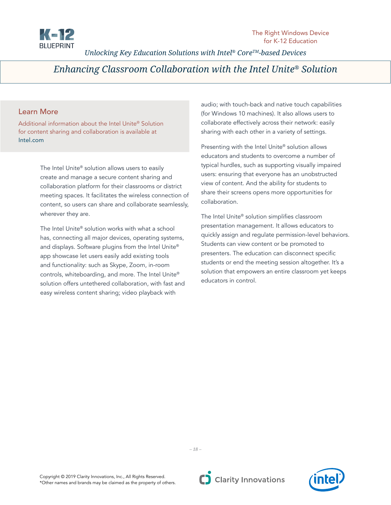

*Unlocking Key Education Solutions with Intel® CoreTM-based Devices*

# *Enhancing Classroom Collaboration with the Intel Unite® Solution*

# Learn More

Additional information about the Intel Unite® Solution for content sharing and collaboration is available at [Intel.com](http://Intel.com)

> The Intel Unite® solution allows users to easily create and manage a secure content sharing and collaboration platform for their classrooms or district meeting spaces. It facilitates the wireless connection of content, so users can share and collaborate seamlessly, wherever they are.

The Intel Unite® solution works with what a school has, connecting all major devices, operating systems, and displays. Software plugins from the Intel Unite® app showcase let users easily add existing tools and functionality: such as Skype, Zoom, in-room controls, whiteboarding, and more. The Intel Unite® solution offers untethered collaboration, with fast and easy wireless content sharing; video playback with

audio; with touch-back and native touch capabilities (for Windows 10 machines). It also allows users to collaborate effectively across their network: easily sharing with each other in a variety of settings.

Presenting with the Intel Unite® solution allows educators and students to overcome a number of typical hurdles, such as supporting visually impaired users: ensuring that everyone has an unobstructed view of content. And the ability for students to share their screens opens more opportunities for collaboration.

The Intel Unite® solution simplifies classroom presentation management. It allows educators to quickly assign and regulate permission-level behaviors. Students can view content or be promoted to presenters. The education can disconnect specific students or end the meeting session altogether. It's a solution that empowers an entire classroom yet keeps educators in control.



*– 18 –*

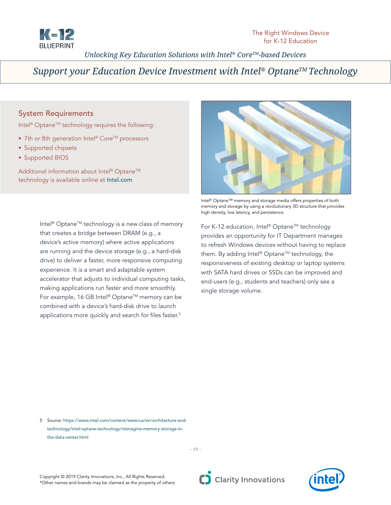

# *Unlocking Key Education Solutions with Intel® CoreTM-based Devices*

# Support your Education Device Investment with Intel<sup>®</sup> Optane<sup>™</sup> Technology

### System Requirements

Intel<sup>®</sup> Optane<sup>™</sup> technology requires the following:

- 7th or 8th generation Intel® Core™ processors
- Supported chipsets
- Supported BIOS

Additional information about Intel® Optane™ technology is available online at [Intel.com](http://Intel.com)

> Intel<sup>®</sup> Optane<sup>™</sup> technology is a new class of memory that creates a bridge between DRAM (e.g., a device's active memory) where active applications are running and the device storage (e.g., a hard-disk drive) to deliver a faster, more responsive computing experience. It is a smart and adaptable system accelerator that adjusts to individual computing tasks, making applications run faster and more smoothly. For example, 16 GB Intel® Optane™ memory can be combined with a device's hard-disk drive to launch applications more quickly and search for files faster.<sup>5</sup>



Intel® Optane™ memory and storage media offers properties of both memory and storage by using a revolutionary 3D structure that provides high density, low latency, and persistence.

For K-12 education, Intel® Optane™ technology provides an opportunity for IT Department manages to refresh Windows devices without having to replace them. By adding Intel® Optane™ technology, the responsiveness of existing desktop or laptop systems with SATA hard drives or SSDs can be improved and end-users (e.g., students and teachers) only see a single storage volume.

5 Source: [https://www.intel.com/content/www/us/en/architecture-and](https://www.intel.com/content/www/us/en/architecture-and-
technology/intel-optane-technology/reimagine-memory-storage-in-
the-data-center.html)  [technology/intel-optane-technology/reimagine-memory-storage-in](https://www.intel.com/content/www/us/en/architecture-and-
technology/intel-optane-technology/reimagine-memory-storage-in-
the-data-center.html)  [the-data-center.html](https://www.intel.com/content/www/us/en/architecture-and-
technology/intel-optane-technology/reimagine-memory-storage-in-
the-data-center.html)

*– 19 –*

Copyright © 2019 Clarity Innovations, Inc., All Rights Reserved. \*Other names and brands may be claimed as the property of others.



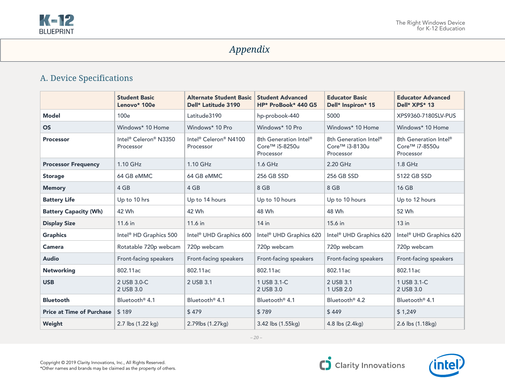

# *Appendix*

# A. Device Specifications

|                                  | <b>Student Basic</b><br>Lenovo* 100e                       | Alternate Student Basic<br>Dell* Latitude 3190 | <b>Student Advanced</b><br>HP* ProBook* 440 G5                   | <b>Educator Basic</b><br>Dell* Inspiron* 15                                  | <b>Educator Advanced</b><br>Dell* XPS* 13                        |
|----------------------------------|------------------------------------------------------------|------------------------------------------------|------------------------------------------------------------------|------------------------------------------------------------------------------|------------------------------------------------------------------|
| <b>Model</b>                     | 100e                                                       | Latitude3190                                   | hp-probook-440                                                   | 5000                                                                         | XPS9360-7180SLV-PUS                                              |
| <b>OS</b>                        | Windows* 10 Home                                           | Windows* 10 Pro                                | Windows* 10 Pro                                                  | Windows* 10 Home                                                             | Windows* 10 Home                                                 |
| <b>Processor</b>                 | Intel <sup>®</sup> Celeron <sup>®</sup> N3350<br>Processor | Intel® Celeron® N4100<br>Processor             | 8th Generation Intel <sup>®</sup><br>Core™ i5-8250u<br>Processor | 8th Generation Intel <sup>®</sup><br>Core <sup>™</sup> i3-8130u<br>Processor | 8th Generation Intel®<br>Core <sup>™</sup> i7-8550u<br>Processor |
| <b>Processor Frequency</b>       | $1.10$ GHz                                                 | $1.10$ GHz                                     | 1.6 GHz                                                          | 2.20 GHz                                                                     | $1.8$ GHz                                                        |
| <b>Storage</b>                   | 64 GB eMMC                                                 | 64 GB eMMC                                     | 256 GB SSD                                                       | 256 GB SSD                                                                   | 5122 GB SSD                                                      |
| <b>Memory</b>                    | 4 GB                                                       | 4 GB                                           | 8 GB                                                             | 8 GB                                                                         | 16 GB                                                            |
| <b>Battery Life</b>              | Up to 10 hrs                                               | Up to 14 hours                                 | Up to 10 hours                                                   | Up to 10 hours                                                               | Up to 12 hours                                                   |
| <b>Battery Capacity (Wh)</b>     | 42 Wh                                                      | 42 Wh                                          | 48 Wh                                                            | 48 Wh                                                                        | 52 Wh                                                            |
| <b>Display Size</b>              | 11.6 in                                                    | 11.6 in                                        | $14$ in                                                          | 15.6 in                                                                      | $13$ in                                                          |
| <b>Graphics</b>                  | Intel <sup>®</sup> HD Graphics 500                         | Intel <sup>®</sup> UHD Graphics 600            | Intel <sup>®</sup> UHD Graphics 620                              | Intel <sup>®</sup> UHD Graphics 620                                          | Intel <sup>®</sup> UHD Graphics 620                              |
| <b>Camera</b>                    | Rotatable 720p webcam                                      | 720p webcam                                    | 720p webcam                                                      | 720p webcam                                                                  | 720p webcam                                                      |
| <b>Audio</b>                     | Front-facing speakers                                      | Front-facing speakers                          | Front-facing speakers                                            | Front-facing speakers                                                        | Front-facing speakers                                            |
| <b>Networking</b>                | 802.11ac                                                   | 802.11ac                                       | 802.11ac                                                         | 802.11ac                                                                     | 802.11ac                                                         |
| <b>USB</b>                       | 2 USB 3.0-C<br>2 USB 3.0                                   | 2 USB 3.1                                      | 1 USB 3.1-C<br>2 USB 3.0                                         | 2 USB 3.1<br>1 USB 2.0                                                       | 1 USB 3.1-C<br>2 USB 3.0                                         |
| <b>Bluetooth</b>                 | Bluetooth <sup>®</sup> 4.1                                 | Bluetooth <sup>®</sup> 4.1                     | Bluetooth <sup>®</sup> 4.1                                       | Bluetooth <sup>®</sup> 4.2                                                   | Bluetooth <sup>®</sup> 4.1                                       |
| <b>Price at Time of Purchase</b> | \$189                                                      | \$479                                          | \$789                                                            | \$449                                                                        | \$1,249                                                          |
| Weight                           | 2.7 lbs (1.22 kg)                                          | 2.79lbs (1.27kg)                               | 3.42 lbs (1.55kg)                                                | 4.8 lbs (2.4kg)                                                              | 2.6 lbs (1.18kg)                                                 |

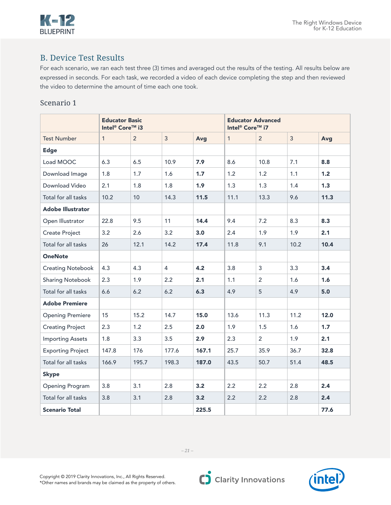

# B. Device Test Results

For each scenario, we ran each test three (3) times and averaged out the results of the testing. All results below are expressed in seconds. For each task, we recorded a video of each device completing the step and then reviewed the video to determine the amount of time each one took.

|                          | <b>Educator Basic</b><br>Intel <sup>®</sup> Core™ i3 |                |                |        | <b>Educator Advanced</b><br>Intel <sup>®</sup> Core™ i7 |                |                  |      |
|--------------------------|------------------------------------------------------|----------------|----------------|--------|---------------------------------------------------------|----------------|------------------|------|
| <b>Test Number</b>       | $\mathbf{1}$                                         | $\overline{2}$ | $\overline{3}$ | Avg    | $\mathbf{1}$                                            | $\overline{2}$ | 3                | Avg  |
| <b>Edge</b>              |                                                      |                |                |        |                                                         |                |                  |      |
| Load MOOC                | 6.3                                                  | 6.5            | 10.9           | 7.9    | 8.6                                                     | 10.8           | 7.1              | 8.8  |
| Download Image           | 1.8                                                  | 1.7            | 1.6            | 1.7    | 1.2                                                     | 1.2            | 1.1              | 1.2  |
| Download Video           | 2.1                                                  | 1.8            | 1.8            | 1.9    | 1.3                                                     | 1.3            | 1.4              | 1.3  |
| Total for all tasks      | 10.2                                                 | 10             | 14.3           | $11.5$ | 11.1                                                    | 13.3           | 9.6              | 11.3 |
| <b>Adobe Illustrator</b> |                                                      |                |                |        |                                                         |                |                  |      |
| Open Illustrator         | 22.8                                                 | 9.5            | 11             | 14.4   | 9.4                                                     | 7.2            | 8.3              | 8.3  |
| <b>Create Project</b>    | 3.2                                                  | 2.6            | 3.2            | 3.0    | 2.4                                                     | 1.9            | 1.9              | 2.1  |
| Total for all tasks      | 26                                                   | 12.1           | 14.2           | 17.4   | 11.8                                                    | 9.1            | 10.2             | 10.4 |
| <b>OneNote</b>           |                                                      |                |                |        |                                                         |                |                  |      |
| <b>Creating Notebook</b> | 4.3                                                  | 4.3            | 4              | 4.2    | 3.8                                                     | 3              | 3.3              | 3.4  |
| <b>Sharing Notebook</b>  | 2.3                                                  | 1.9            | 2.2            | 2.1    | 1.1                                                     | $\overline{2}$ | 1.6              | 1.6  |
| Total for all tasks      | 6.6                                                  | 6.2            | 6.2            | 6.3    | 4.9                                                     | 5              | 4.9              | 5.0  |
| <b>Adobe Premiere</b>    |                                                      |                |                |        |                                                         |                |                  |      |
| <b>Opening Premiere</b>  | 15                                                   | 15.2           | 14.7           | 15.0   | 13.6                                                    | 11.3           | 11.2             | 12.0 |
| <b>Creating Project</b>  | 2.3                                                  | 1.2            | 2.5            | 2.0    | 1.9                                                     | 1.5            | 1.6              | 1.7  |
| <b>Importing Assets</b>  | 1.8                                                  | 3.3            | 3.5            | 2.9    | 2.3                                                     | $\overline{2}$ | 1.9 <sup>°</sup> | 2.1  |
| <b>Exporting Project</b> | 147.8                                                | 176            | 177.6          | 167.1  | 25.7                                                    | 35.9           | 36.7             | 32.8 |
| Total for all tasks      | 166.9                                                | 195.7          | 198.3          | 187.0  | 43.5                                                    | 50.7           | 51.4             | 48.5 |
| <b>Skype</b>             |                                                      |                |                |        |                                                         |                |                  |      |
| Opening Program          | 3.8                                                  | 3.1            | 2.8            | 3.2    | 2.2                                                     | 2.2            | 2.8              | 2.4  |
| Total for all tasks      | 3.8                                                  | 3.1            | 2.8            | 3.2    | 2.2                                                     | 2.2            | 2.8              | 2.4  |
| <b>Scenario Total</b>    |                                                      |                |                | 225.5  |                                                         |                |                  | 77.6 |



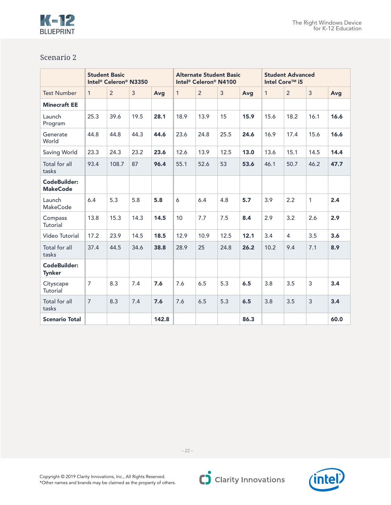

|                                        | <b>Student Basic</b><br>Intel <sup>®</sup> Celeron <sup>®</sup> N3350 |                |      |       | <b>Alternate Student Basic</b><br>Intel <sup>®</sup> Celeron® N4100 |                |      |      | <b>Student Advanced</b><br>Intel Core™ i5 |                |                |      |
|----------------------------------------|-----------------------------------------------------------------------|----------------|------|-------|---------------------------------------------------------------------|----------------|------|------|-------------------------------------------|----------------|----------------|------|
| <b>Test Number</b>                     | $\mathbf{1}$                                                          | $\overline{2}$ | 3    | Avg   | $\mathbf{1}$                                                        | $\overline{2}$ | 3    | Avg  | $\mathbf{1}$                              | 2              | $\overline{3}$ | Avg  |
| <b>Minecraft EE</b>                    |                                                                       |                |      |       |                                                                     |                |      |      |                                           |                |                |      |
| Launch<br>Program                      | 25.3                                                                  | 39.6           | 19.5 | 28.1  | 18.9                                                                | 13.9           | 15   | 15.9 | 15.6                                      | 18.2           | 16.1           | 16.6 |
| Generate<br>World                      | 44.8                                                                  | 44.8           | 44.3 | 44.6  | 23.6                                                                | 24.8           | 25.5 | 24.6 | 16.9                                      | 17.4           | 15.6           | 16.6 |
| Saving World                           | 23.3                                                                  | 24.3           | 23.2 | 23.6  | 12.6                                                                | 13.9           | 12.5 | 13.0 | 13.6                                      | 15.1           | 14.5           | 14.4 |
| Total for all<br>tasks                 | 93.4                                                                  | 108.7          | 87   | 96.4  | 55.1                                                                | 52.6           | 53   | 53.6 | 46.1                                      | 50.7           | 46.2           | 47.7 |
| <b>CodeBuilder:</b><br><b>MakeCode</b> |                                                                       |                |      |       |                                                                     |                |      |      |                                           |                |                |      |
| Launch<br><b>MakeCode</b>              | 6.4                                                                   | 5.3            | 5.8  | 5.8   | 6                                                                   | 6.4            | 4.8  | 5.7  | 3.9                                       | 2.2            | $\mathbf{1}$   | 2.4  |
| Compass<br>Tutorial                    | 13.8                                                                  | 15.3           | 14.3 | 14.5  | 10                                                                  | 7.7            | 7.5  | 8.4  | 2.9                                       | 3.2            | 2.6            | 2.9  |
| Video Tutorial                         | 17.2                                                                  | 23.9           | 14.5 | 18.5  | 12.9                                                                | 10.9           | 12.5 | 12.1 | 3.4                                       | $\overline{4}$ | 3.5            | 3.6  |
| Total for all<br>tasks                 | 37.4                                                                  | 44.5           | 34.6 | 38.8  | 28.9                                                                | 25             | 24.8 | 26.2 | 10.2                                      | 9.4            | 7.1            | 8.9  |
| CodeBuilder:<br><b>Tynker</b>          |                                                                       |                |      |       |                                                                     |                |      |      |                                           |                |                |      |
| Cityscape<br>Tutorial                  | $\overline{7}$                                                        | 8.3            | 7.4  | 7.6   | 7.6                                                                 | 6.5            | 5.3  | 6.5  | 3.8                                       | 3.5            | 3              | 3.4  |
| Total for all<br>tasks                 | $\overline{7}$                                                        | 8.3            | 7.4  | 7.6   | 7.6                                                                 | 6.5            | 5.3  | 6.5  | 3.8                                       | 3.5            | 3              | 3.4  |
| <b>Scenario Total</b>                  |                                                                       |                |      | 142.8 |                                                                     |                |      | 86.3 |                                           |                |                | 60.0 |



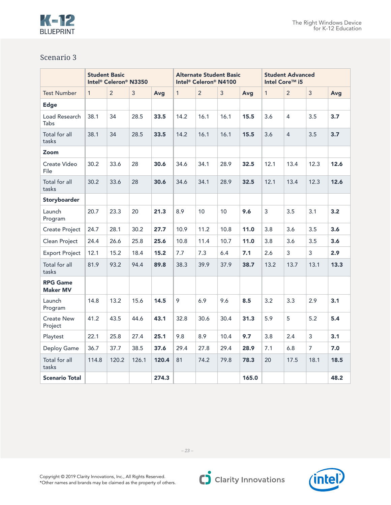

|                                    | <b>Student Basic</b><br>Intel <sup>®</sup> Celeron <sup>®</sup> N3350 |                |                |       | <b>Alternate Student Basic</b><br>Intel <sup>®</sup> Celeron® N4100 |                |                |       | <b>Student Advanced</b><br>Intel Core™ i5 |                |                |      |
|------------------------------------|-----------------------------------------------------------------------|----------------|----------------|-------|---------------------------------------------------------------------|----------------|----------------|-------|-------------------------------------------|----------------|----------------|------|
| <b>Test Number</b>                 | $\mathbf{1}$                                                          | $\overline{2}$ | $\overline{3}$ | Avg   | $\mathbf{1}$                                                        | $\overline{2}$ | $\overline{3}$ | Avg   | $\mathbf{1}$                              | $\overline{2}$ | $\overline{3}$ | Avg  |
| <b>Edge</b>                        |                                                                       |                |                |       |                                                                     |                |                |       |                                           |                |                |      |
| Load Research<br>Tabs              | 38.1                                                                  | 34             | 28.5           | 33.5  | 14.2                                                                | 16.1           | 16.1           | 15.5  | 3.6                                       | 4              | 3.5            | 3.7  |
| Total for all<br>tasks             | 38.1                                                                  | 34             | 28.5           | 33.5  | 14.2                                                                | 16.1           | 16.1           | 15.5  | 3.6                                       | $\overline{4}$ | 3.5            | 3.7  |
| Zoom                               |                                                                       |                |                |       |                                                                     |                |                |       |                                           |                |                |      |
| Create Video<br>File               | 30.2                                                                  | 33.6           | 28             | 30.6  | 34.6                                                                | 34.1           | 28.9           | 32.5  | 12.1                                      | 13.4           | 12.3           | 12.6 |
| Total for all<br>tasks             | 30.2                                                                  | 33.6           | 28             | 30.6  | 34.6                                                                | 34.1           | 28.9           | 32.5  | 12.1                                      | 13.4           | 12.3           | 12.6 |
| Storyboarder                       |                                                                       |                |                |       |                                                                     |                |                |       |                                           |                |                |      |
| Launch<br>Program                  | 20.7                                                                  | 23.3           | 20             | 21.3  | 8.9                                                                 | 10             | 10             | 9.6   | $\mathbf{3}$                              | 3.5            | 3.1            | 3.2  |
| <b>Create Project</b>              | 24.7                                                                  | 28.1           | 30.2           | 27.7  | 10.9                                                                | 11.2           | 10.8           | 11.0  | 3.8                                       | 3.6            | 3.5            | 3.6  |
| Clean Project                      | 24.4                                                                  | 26.6           | 25.8           | 25.6  | 10.8                                                                | 11.4           | 10.7           | 11.0  | 3.8                                       | 3.6            | 3.5            | 3.6  |
| <b>Export Project</b>              | 12.1                                                                  | 15.2           | 18.4           | 15.2  | 7.7                                                                 | 7.3            | 6.4            | 7.1   | 2.6                                       | 3              | 3              | 2.9  |
| Total for all<br>tasks             | 81.9                                                                  | 93.2           | 94.4           | 89.8  | 38.3                                                                | 39.9           | 37.9           | 38.7  | 13.2                                      | 13.7           | 13.1           | 13.3 |
| <b>RPG Game</b><br><b>Maker MV</b> |                                                                       |                |                |       |                                                                     |                |                |       |                                           |                |                |      |
| Launch<br>Program                  | 14.8                                                                  | 13.2           | 15.6           | 14.5  | 9                                                                   | 6.9            | 9.6            | 8.5   | 3.2                                       | 3.3            | 2.9            | 3.1  |
| <b>Create New</b><br>Project       | 41.2                                                                  | 43.5           | 44.6           | 43.1  | 32.8                                                                | 30.6           | 30.4           | 31.3  | 5.9                                       | 5              | 5.2            | 5.4  |
| Playtest                           | 22.1                                                                  | 25.8           | 27.4           | 25.1  | 9.8                                                                 | 8.9            | 10.4           | 9.7   | 3.8                                       | 2.4            | 3              | 3.1  |
| Deploy Game                        | 36.7                                                                  | 37.7           | 38.5           | 37.6  | 29.4                                                                | 27.8           | 29.4           | 28.9  | 7.1                                       | 6.8            | $\overline{7}$ | 7.0  |
| Total for all<br>tasks             | 114.8                                                                 | 120.2          | 126.1          | 120.4 | 81                                                                  | 74.2           | 79.8           | 78.3  | 20                                        | 17.5           | 18.1           | 18.5 |
| <b>Scenario Total</b>              |                                                                       |                |                | 274.3 |                                                                     |                |                | 165.0 |                                           |                |                | 48.2 |

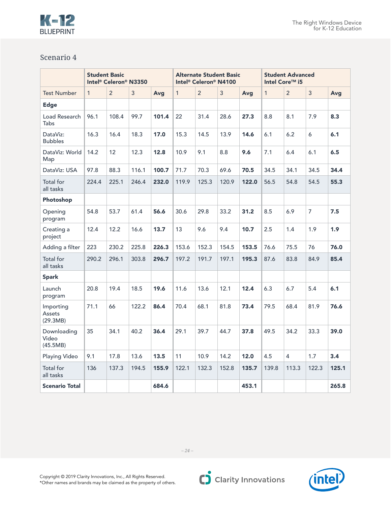

|                                  | <b>Student Basic</b><br>Intel <sup>®</sup> Celeron® N3350 |                |       |       | <b>Alternate Student Basic</b><br>Intel <sup>®</sup> Celeron® N4100 |                |       |       | <b>Student Advanced</b><br>Intel Core™ i5 |                |                |       |
|----------------------------------|-----------------------------------------------------------|----------------|-------|-------|---------------------------------------------------------------------|----------------|-------|-------|-------------------------------------------|----------------|----------------|-------|
| <b>Test Number</b>               | $\mathbf{1}$                                              | $\overline{2}$ | 3     | Avg   | $\mathbf{1}$                                                        | $\overline{2}$ | 3     | Avg   | $\mathbf{1}$                              | $\overline{2}$ | $\overline{3}$ | Avg   |
| <b>Edge</b>                      |                                                           |                |       |       |                                                                     |                |       |       |                                           |                |                |       |
| Load Research<br><b>Tabs</b>     | 96.1                                                      | 108.4          | 99.7  | 101.4 | 22                                                                  | 31.4           | 28.6  | 27.3  | 8.8                                       | 8.1            | 7.9            | 8.3   |
| DataViz:<br><b>Bubbles</b>       | 16.3                                                      | 16.4           | 18.3  | 17.0  | 15.3                                                                | 14.5           | 13.9  | 14.6  | 6.1                                       | 6.2            | 6              | 6.1   |
| DataViz: World<br>Map            | 14.2                                                      | 12             | 12.3  | 12.8  | 10.9                                                                | 9.1            | 8.8   | 9.6   | 7.1                                       | 6.4            | 6.1            | 6.5   |
| DataViz: USA                     | 97.8                                                      | 88.3           | 116.1 | 100.7 | 71.7                                                                | 70.3           | 69.6  | 70.5  | 34.5                                      | 34.1           | 34.5           | 34.4  |
| Total for<br>all tasks           | 224.4                                                     | 225.1          | 246.4 | 232.0 | 119.9                                                               | 125.3          | 120.9 | 122.0 | 56.5                                      | 54.8           | 54.5           | 55.3  |
| Photoshop                        |                                                           |                |       |       |                                                                     |                |       |       |                                           |                |                |       |
| Opening<br>program               | 54.8                                                      | 53.7           | 61.4  | 56.6  | 30.6                                                                | 29.8           | 33.2  | 31.2  | 8.5                                       | 6.9            | $\overline{7}$ | 7.5   |
| Creating a<br>project            | 12.4                                                      | 12.2           | 16.6  | 13.7  | 13                                                                  | 9.6            | 9.4   | 10.7  | 2.5                                       | 1.4            | 1.9            | 1.9   |
| Adding a filter                  | 223                                                       | 230.2          | 225.8 | 226.3 | 153.6                                                               | 152.3          | 154.5 | 153.5 | 76.6                                      | 75.5           | 76             | 76.0  |
| Total for<br>all tasks           | 290.2                                                     | 296.1          | 303.8 | 296.7 | 197.2                                                               | 191.7          | 197.1 | 195.3 | 87.6                                      | 83.8           | 84.9           | 85.4  |
| <b>Spark</b>                     |                                                           |                |       |       |                                                                     |                |       |       |                                           |                |                |       |
| Launch<br>program                | 20.8                                                      | 19.4           | 18.5  | 19.6  | 11.6                                                                | 13.6           | 12.1  | 12.4  | 6.3                                       | 6.7            | 5.4            | 6.1   |
| Importing<br>Assets<br>(29.3MB)  | 71.1                                                      | 66             | 122.2 | 86.4  | 70.4                                                                | 68.1           | 81.8  | 73.4  | 79.5                                      | 68.4           | 81.9           | 76.6  |
| Downloading<br>Video<br>(45.5MB) | 35                                                        | 34.1           | 40.2  | 36.4  | 29.1                                                                | 39.7           | 44.7  | 37.8  | 49.5                                      | 34.2           | 33.3           | 39.0  |
| Playing Video                    | 9.1                                                       | 17.8           | 13.6  | 13.5  | 11                                                                  | 10.9           | 14.2  | 12.0  | 4.5                                       | 4              | 1.7            | 3.4   |
| Total for<br>all tasks           | 136                                                       | 137.3          | 194.5 | 155.9 | 122.1                                                               | 132.3          | 152.8 | 135.7 | 139.8                                     | 113.3          | 122.3          | 125.1 |
| <b>Scenario Total</b>            |                                                           |                |       | 684.6 |                                                                     |                |       | 453.1 |                                           |                |                | 265.8 |

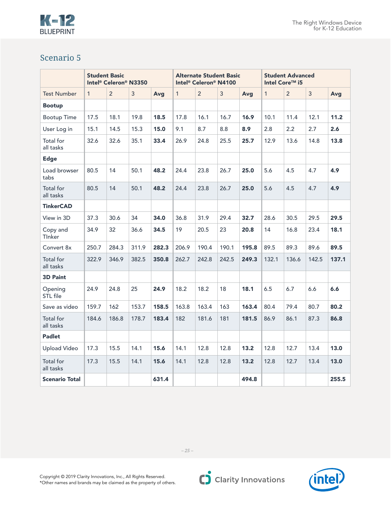#### The Right Windows Device for K-12 Education



|                               | <b>Student Basic</b><br>Intel <sup>®</sup> Celeron® N3350 |                |       |       | <b>Alternate Student Basic</b><br>Intel <sup>®</sup> Celeron® N4100 |                |       |       | <b>Student Advanced</b><br>Intel Core™ i5 |                |                |       |
|-------------------------------|-----------------------------------------------------------|----------------|-------|-------|---------------------------------------------------------------------|----------------|-------|-------|-------------------------------------------|----------------|----------------|-------|
| <b>Test Number</b>            | $\mathbf{1}$                                              | $\overline{2}$ | 3     | Avg   | $\mathbf{1}$                                                        | $\overline{2}$ | 3     | Avg   | $\mathbf{1}$                              | $\overline{2}$ | $\overline{3}$ | Avg   |
| <b>Bootup</b>                 |                                                           |                |       |       |                                                                     |                |       |       |                                           |                |                |       |
| <b>Bootup Time</b>            | 17.5                                                      | 18.1           | 19.8  | 18.5  | 17.8                                                                | 16.1           | 16.7  | 16.9  | 10.1                                      | 11.4           | 12.1           | 11.2  |
| User Log in                   | 15.1                                                      | 14.5           | 15.3  | 15.0  | 9.1                                                                 | 8.7            | 8.8   | 8.9   | 2.8                                       | 2.2            | 2.7            | 2.6   |
| Total for<br>all tasks        | 32.6                                                      | 32.6           | 35.1  | 33.4  | 26.9                                                                | 24.8           | 25.5  | 25.7  | 12.9                                      | 13.6           | 14.8           | 13.8  |
| <b>Edge</b>                   |                                                           |                |       |       |                                                                     |                |       |       |                                           |                |                |       |
| Load browser<br>tabs          | 80.5                                                      | 14             | 50.1  | 48.2  | 24.4                                                                | 23.8           | 26.7  | 25.0  | 5.6                                       | 4.5            | 4.7            | 4.9   |
| Total for<br>all tasks        | 80.5                                                      | 14             | 50.1  | 48.2  | 24.4                                                                | 23.8           | 26.7  | 25.0  | 5.6                                       | 4.5            | 4.7            | 4.9   |
| <b>TinkerCAD</b>              |                                                           |                |       |       |                                                                     |                |       |       |                                           |                |                |       |
| View in 3D                    | 37.3                                                      | 30.6           | 34    | 34.0  | 36.8                                                                | 31.9           | 29.4  | 32.7  | 28.6                                      | 30.5           | 29.5           | 29.5  |
| Copy and<br>Tinker            | 34.9                                                      | 32             | 36.6  | 34.5  | 19                                                                  | 20.5           | 23    | 20.8  | 14                                        | 16.8           | 23.4           | 18.1  |
| Convert 8x                    | 250.7                                                     | 284.3          | 311.9 | 282.3 | 206.9                                                               | 190.4          | 190.1 | 195.8 | 89.5                                      | 89.3           | 89.6           | 89.5  |
| Total for<br>all tasks        | 322.9                                                     | 346.9          | 382.5 | 350.8 | 262.7                                                               | 242.8          | 242.5 | 249.3 | 132.1                                     | 136.6          | 142.5          | 137.1 |
| <b>3D Paint</b>               |                                                           |                |       |       |                                                                     |                |       |       |                                           |                |                |       |
| Opening<br>STL file           | 24.9                                                      | 24.8           | 25    | 24.9  | 18.2                                                                | 18.2           | 18    | 18.1  | 6.5                                       | 6.7            | 6.6            | 6.6   |
| Save as video                 | 159.7                                                     | 162            | 153.7 | 158.5 | 163.8                                                               | 163.4          | 163   | 163.4 | 80.4                                      | 79.4           | 80.7           | 80.2  |
| <b>Total</b> for<br>all tasks | 184.6                                                     | 186.8          | 178.7 | 183.4 | 182                                                                 | 181.6          | 181   | 181.5 | 86.9                                      | 86.1           | 87.3           | 86.8  |
| <b>Padlet</b>                 |                                                           |                |       |       |                                                                     |                |       |       |                                           |                |                |       |
| <b>Upload Video</b>           | 17.3                                                      | 15.5           | 14.1  | 15.6  | 14.1                                                                | 12.8           | 12.8  | 13.2  | 12.8                                      | 12.7           | 13.4           | 13.0  |
| Total for<br>all tasks        | 17.3                                                      | 15.5           | 14.1  | 15.6  | 14.1                                                                | 12.8           | 12.8  | 13.2  | 12.8                                      | 12.7           | 13.4           | 13.0  |
| <b>Scenario Total</b>         |                                                           |                |       | 631.4 |                                                                     |                |       | 494.8 |                                           |                |                | 255.5 |

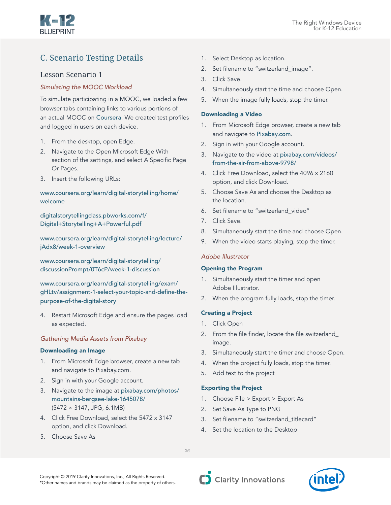

# C. Scenario Testing Details

# Lesson Scenario 1

# *Simulating the MOOC Workload*

To simulate participating in a MOOC, we loaded a few browser tabs containing links to various portions of an actual MOOC on [Coursera](http://Coursera.org). We created test profiles and logged in users on each device.

- 1. From the desktop, open Edge.
- 2. Navigate to the Open Microsoft Edge With section of the settings, and select A Specific Page Or Pages.
- 3. Insert the following URLs:

# [www.coursera.org/learn/digital-storytelling/home/](http://www.coursera.org/learn/digital-storytelling/home/welcome) [welcome](http://www.coursera.org/learn/digital-storytelling/home/welcome)

[digitalstorytellingclass.pbworks.com/f/](http://digitalstorytellingclass.pbworks.com/f/Digital+Storytelling+A+Powerful.pdf) [Digital+Storytelling+A+Powerful.pdf](http://digitalstorytellingclass.pbworks.com/f/Digital+Storytelling+A+Powerful.pdf)

[www.coursera.org/learn/digital-storytelling/lecture/](https://www.coursera.org/learn/digital-storytelling/lecture/jAdx8/week-1-overview) [jAdx8/week-1-overview](https://www.coursera.org/learn/digital-storytelling/lecture/jAdx8/week-1-overview)

[www.coursera.org/learn/digital-storytelling/](https://www.coursera.org/learn/digital-storytelling/discussionPrompt/0T6cP/week-1-discussion) [discussionPrompt/0T6cP/week-1-discussion](https://www.coursera.org/learn/digital-storytelling/discussionPrompt/0T6cP/week-1-discussion)

[www.coursera.org/learn/digital-storytelling/exam/](http://www.coursera.org/learn/digital-storytelling/exam/gHLtv/assignment-1-select-your-topic-and-de) [gHLtv/assignment-1-select-your-topic-and-define-the](http://www.coursera.org/learn/digital-storytelling/exam/gHLtv/assignment-1-select-your-topic-and-de)[purpose-of-the-digital-story](http://www.coursera.org/learn/digital-storytelling/exam/gHLtv/assignment-1-select-your-topic-and-de)

4. Restart Microsoft Edge and ensure the pages load as expected.

#### *Gathering Media Assets from Pixabay*

### Downloading an Image

- 1. From Microsoft Edge browser, create a new tab and navigate to Pixabay.com.
- 2. Sign in with your Google account.
- 3. Navigate to the image at [pixabay.com/photos/](https://pixabay.com/photos/mountains-bergsee-lake-1645078/) [mountains-bergsee-lake-1645078/](https://pixabay.com/photos/mountains-bergsee-lake-1645078/) (5472 × 3147, JPG, 6.1MB)
- 4. Click Free Download, select the 5472 x 3147 option, and click Download.
- 5. Choose Save As
- 1. Select Desktop as location.
- 2. Set filename to "switzerland image".
- 3. Click Save.
- 4. Simultaneously start the time and choose Open.
- 5. When the image fully loads, stop the timer.

#### Downloading a Video

- 1. From Microsoft Edge browser, create a new tab and navigate to [Pixabay.com](http://Pixabay.com).
- 2. Sign in with your Google account.
- 3. Navigate to the video at [pixabay.com/videos/](https://pixabay.com/videos/from-the-air-from-above-9798/) [from-the-air-from-above-9798/](https://pixabay.com/videos/from-the-air-from-above-9798/)
- 4. Click Free Download, select the 4096 x 2160 option, and click Download.
- 5. Choose Save As and choose the Desktop as the location.
- 6. Set filename to "switzerland\_video"
- 7. Click Save.
- 8. Simultaneously start the time and choose Open.
- 9. When the video starts playing, stop the timer.

#### *Adobe Illustrator*

#### Opening the Program

- 1. Simultaneously start the timer and open Adobe Illustrator.
- 2. When the program fully loads, stop the timer.

#### Creating a Project

- 1. Click Open
- 2. From the file finder, locate the file switzerland\_ image.
- 3. Simultaneously start the timer and choose Open.
- 4. When the project fully loads, stop the timer.
- 5. Add text to the project

#### Exporting the Project

- 1. Choose File > Export > Export As
- 2. Set Save As Type to PNG
- 3. Set filename to "switzerland titlecard"
- 4. Set the location to the Desktop

Copyright © 2019 Clarity Innovations, Inc., All Rights Reserved. \*Other names and brands may be claimed as the property of others.

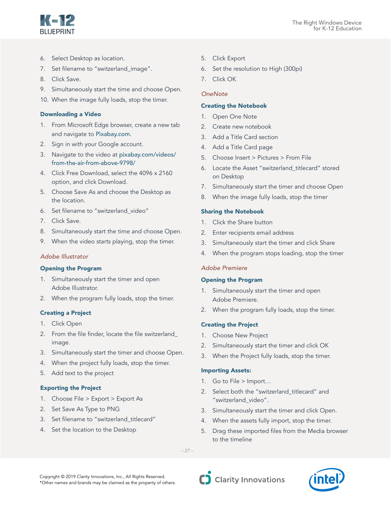

- 
- 6. Select Desktop as location.
- 7. Set filename to "switzerland image".
- 8. Click Save.
- 9. Simultaneously start the time and choose Open.
- 10. When the image fully loads, stop the timer.

#### Downloading a Video

- 1. From Microsoft Edge browser, create a new tab and navigate to [Pixabay.com](http://Pixabay.com).
- 2. Sign in with your Google account.
- 3. Navigate to the video at [pixabay.com/videos/](https://pixabay.com/videos/from-the-air-from-above-9798/) [from-the-air-from-above-9798/](https://pixabay.com/videos/from-the-air-from-above-9798/)
- 4. Click Free Download, select the 4096 x 2160 option, and click Download.
- 5. Choose Save As and choose the Desktop as the location.
- 6. Set filename to "switzerland\_video"
- 7. Click Save.
- 8. Simultaneously start the time and choose Open.
- 9. When the video starts playing, stop the timer.

#### *Adobe Illustrator*

#### Opening the Program

- 1. Simultaneously start the timer and open Adobe Illustrator.
- 2. When the program fully loads, stop the timer.

# Creating a Project

- 1. Click Open
- 2. From the file finder, locate the file switzerland\_ image.
- 3. Simultaneously start the timer and choose Open.
- 4. When the project fully loads, stop the timer.
- 5. Add text to the project

# Exporting the Project

- 1. Choose File > Export > Export As
- 2. Set Save As Type to PNG
- 3. Set filename to "switzerland titlecard"
- 4. Set the location to the Desktop
- 5. Click Export
- 6. Set the resolution to High (300pi)
- 7. Click OK

### *OneNote*

#### Creating the Notebook

- 1. Open One Note
- 2. Create new notebook
- 3. Add a Title Card section
- 4. Add a Title Card page
- 5. Choose Insert > Pictures > From File
- 6. Locate the Asset "switzerland\_titlecard" stored on Desktop
- 7. Simultaneously start the timer and choose Open
- 8. When the image fully loads, stop the timer

#### Sharing the Notebook

- 1. Click the Share button
- 2. Enter recipients email address
- 3. Simultaneously start the timer and click Share
- 4. When the program stops loading, stop the timer

#### *Adobe Premiere*

#### Opening the Program

- 1. Simultaneously start the timer and open Adobe Premiere.
- 2. When the program fully loads, stop the timer.

#### Creating the Project

- 1. Choose New Project
- 2. Simultaneously start the timer and click OK
- 3. When the Project fully loads, stop the timer.

#### Importing Assets:

- 1. Go to File > Import…
- 2. Select both the "switzerland titlecard" and "switzerland\_video".
- 3. Simultaneously start the timer and click Open.
- 4. When the assets fully import, stop the timer.
- 5. Drag these imported files from the Media browser to the timeline

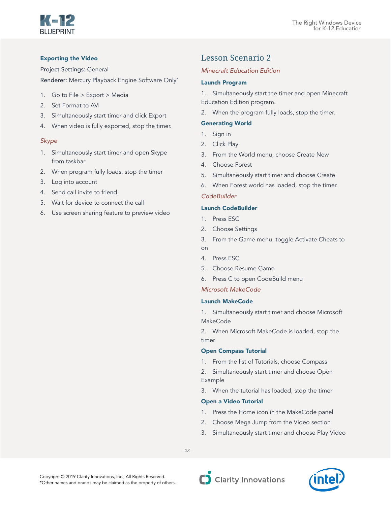

# Exporting the Video

Project Settings: General

Renderer: Mercury Playback Engine Software Only\*

- 1. Go to File > Export > Media
- 2. Set Format to AVI
- 3. Simultaneously start timer and click Export
- 4. When video is fully exported, stop the timer.

# *Skype*

- 1. Simultaneously start timer and open Skype from taskbar
- 2. When program fully loads, stop the timer
- 3. Log into account
- 4. Send call invite to friend
- 5. Wait for device to connect the call
- 6. Use screen sharing feature to preview video

# Lesson Scenario 2

# *Minecraft Education Edition*

## Launch Program

1. Simultaneously start the timer and open Minecraft Education Edition program.

2. When the program fully loads, stop the timer.

## Generating World

- 1. Sign in
- 2. Click Play
- 3. From the World menu, choose Create New
- 4. Choose Forest
- 5. Simultaneously start timer and choose Create
- 6. When Forest world has loaded, stop the timer.

# *CodeBuilder*

# Launch CodeBuilder

- 1. Press ESC
- 2. Choose Settings
- 3. From the Game menu, toggle Activate Cheats to on
- 4. Press ESC
- 5. Choose Resume Game
- 6. Press C to open CodeBuild menu

# *Microsoft MakeCode*

#### Launch MakeCode

1. Simultaneously start timer and choose Microsoft MakeCode

2. When Microsoft MakeCode is loaded, stop the timer

#### Open Compass Tutorial

1. From the list of Tutorials, choose Compass

2. Simultaneously start timer and choose Open Example

3. When the tutorial has loaded, stop the timer

#### Open a Video Tutorial

- 1. Press the Home icon in the MakeCode panel
- 2. Choose Mega Jump from the Video section
- 3. Simultaneously start timer and choose Play Video

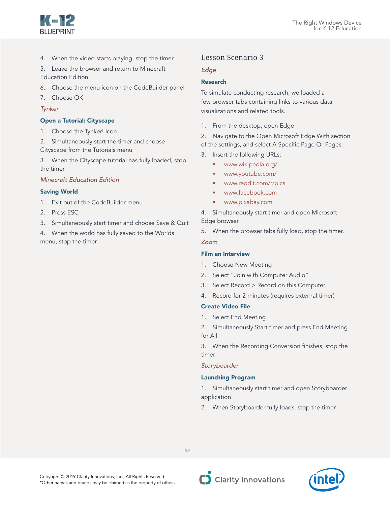

4. When the video starts playing, stop the timer

5. Leave the browser and return to Minecraft Education Edition

- 6. Choose the menu icon on the CodeBuilder panel
- 7. Choose OK

#### *Tynker*

#### Open a Tutorial: Cityscape

- 1. Choose the Tynker! Icon
- 2. Simultaneously start the timer and choose Cityscape from the Tutorials menu
- 3. When the Cityscape tutorial has fully loaded, stop the timer

## *Minecraft Education Edition*

#### Saving World

- 1. Exit out of the CodeBuilder menu
- 2. Press ESC
- 3. Simultaneously start timer and choose Save & Quit
- 4. When the world has fully saved to the Worlds menu, stop the timer

## Lesson Scenario 3

#### *Edge*

#### Research

To simulate conducting research, we loaded a few browser tabs containing links to various data visualizations and related tools.

1. From the desktop, open Edge.

2. Navigate to the Open Microsoft Edge With section of the settings, and select A Specific Page Or Pages.

- 3. Insert the following URLs:
	- www.wikipedia.org/
	- www.youtube.com/
	- www.reddit.com/r/pics
	- www.facebook.com
	- www.pixabay.com

4. Simultaneously start timer and open Microsoft Edge browser.

5. When the browser tabs fully load, stop the timer.

#### *Zoom*

#### Film an Interview

- 1. Choose New Meeting
- 2. Select "Join with Computer Audio"
- 3. Select Record > Record on this Computer
- 4. Record for 2 minutes (requires external timer)

#### Create Video File

1. Select End Meeting

2. Simultaneously Start timer and press End Meeting for All

3. When the Recording Conversion finishes, stop the timer

#### *Storyboarder*

#### Launching Program

1. Simultaneously start timer and open Storyboarder application

2. When Storyboarder fully loads, stop the timer

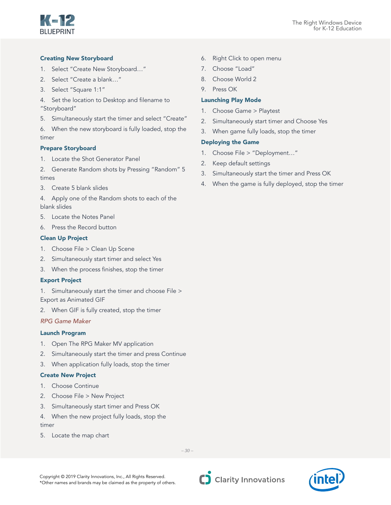

## Creating New Storyboard

- 1. Select "Create New Storyboard…"
- 2. Select "Create a blank…"
- 3. Select "Square 1:1"
- 4. Set the location to Desktop and filename to "Storyboard"
- 5. Simultaneously start the timer and select "Create"
- 6. When the new storyboard is fully loaded, stop the timer

### Prepare Storyboard

- 1. Locate the Shot Generator Panel
- 2. Generate Random shots by Pressing "Random" 5 times
- 3. Create 5 blank slides
- 4. Apply one of the Random shots to each of the blank slides
- 5. Locate the Notes Panel
- 6. Press the Record button

### Clean Up Project

- 1. Choose File > Clean Up Scene
- 2. Simultaneously start timer and select Yes
- 3. When the process finishes, stop the timer

#### Export Project

1. Simultaneously start the timer and choose File > Export as Animated GIF

2. When GIF is fully created, stop the timer

# *RPG Game Maker*

#### Launch Program

- 1. Open The RPG Maker MV application
- 2. Simultaneously start the timer and press Continue
- 3. When application fully loads, stop the timer

# Create New Project

- 1. Choose Continue
- 2. Choose File > New Project
- 3. Simultaneously start timer and Press OK
- 4. When the new project fully loads, stop the timer
- 5. Locate the map chart

6. Right Click to open menu

- 7. Choose "Load"
- 8. Choose World 2
- 9. Press OK

## Launching Play Mode

- 1. Choose Game > Playtest
- 2. Simultaneously start timer and Choose Yes
- 3. When game fully loads, stop the timer

### Deploying the Game

- 1. Choose File > "Deployment…"
- 2. Keep default settings
- 3. Simultaneously start the timer and Press OK
- 4. When the game is fully deployed, stop the timer

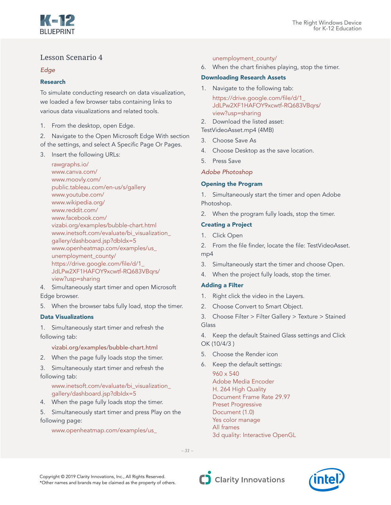

# Lesson Scenario 4

# *Edge*

# Research

To simulate conducting research on data visualization, we loaded a few browser tabs containing links to various data visualizations and related tools.

1. From the desktop, open Edge.

2. Navigate to the Open Microsoft Edge With section of the settings, and select A Specific Page Or Pages.

3. Insert the following URLs:

rawgraphs.io/ www.canva.com/ www.moovly.com/ public.tableau.com/en-us/s/gallery www.youtube.com/ www.wikipedia.org/ www.reddit.com/ www.facebook.com/ vizabi.org/examples/bubble-chart.html www.inetsoft.com/evaluate/bi\_visualization\_ gallery/dashboard.jsp?dbIdx=5 www.openheatmap.com/examples/us\_ unemployment\_county/ https://drive.google.com/file/d/1\_ JdLPw2XF1HAFOY9xcwtf-RQ683VBqrs/ view?usp=sharing

4. Simultaneously start timer and open Microsoft Edge browser.

5. When the browser tabs fully load, stop the timer.

# Data Visualizations

1. Simultaneously start timer and refresh the following tab:

# vizabi.org/examples/bubble-chart.html

2. When the page fully loads stop the timer.

3. Simultaneously start timer and refresh the following tab:

# www.inetsoft.com/evaluate/bi\_visualization\_ gallery/dashboard.jsp?dbIdx=5

4. When the page fully loads stop the timer.

5. Simultaneously start timer and press Play on the following page:

# www.openheatmap.com/examples/us\_

### unemployment\_county/

6. When the chart finishes playing, stop the timer.

## Downloading Research Assets

- 1. Navigate to the following tab: https://drive.google.com/file/d/1\_ JdLPw2XF1HAFOY9xcwtf-RQ683VBqrs/ view?usp=sharing
- 2. Download the listed asset:

TestVideoAsset.mp4 (4MB)

- 3. Choose Save As
- 4. Choose Desktop as the save location.
- 5. Press Save

*Adobe Photoshop*

# Opening the Program

1. Simultaneously start the timer and open Adobe Photoshop.

2. When the program fully loads, stop the timer.

# Creating a Project

1. Click Open

2. From the file finder, locate the file: TestVideoAsset. mp4

- 3. Simultaneously start the timer and choose Open.
- 4. When the project fully loads, stop the timer.

# Adding a Filter

- 1. Right click the video in the Layers.
- 2. Choose Convert to Smart Object.

3. Choose Filter > Filter Gallery > Texture > Stained Glass

4. Keep the default Stained Glass settings and Click OK (10/4/3 )

- 5. Choose the Render icon
- 6. Keep the default settings:

960 x 540 Adobe Media Encoder H. 264 High Quality Document Frame Rate 29.97 Preset Progressive Document (1.0) Yes color manage All frames 3d quality: Interactive OpenGL

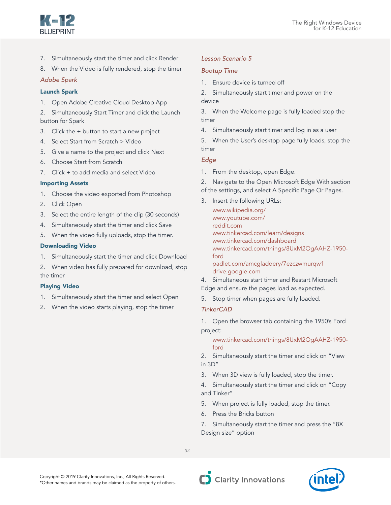

- 7. Simultaneously start the timer and click Render
- 8. When the Video is fully rendered, stop the timer

## *Adobe Spark*

## Launch Spark

1. Open Adobe Creative Cloud Desktop App

2. Simultaneously Start Timer and click the Launch button for Spark

- 3. Click the + button to start a new project
- 4. Select Start from Scratch > Video
- 5. Give a name to the project and click Next
- 6. Choose Start from Scratch
- 7. Click + to add media and select Video

### Importing Assets

- 1. Choose the video exported from Photoshop
- 2. Click Open
- 3. Select the entire length of the clip (30 seconds)
- 4. Simultaneously start the timer and click Save
- 5. When the video fully uploads, stop the timer.

### Downloading Video

- 1. Simultaneously start the timer and click Download
- 2. When video has fully prepared for download, stop the timer

#### Playing Video

- 1. Simultaneously start the timer and select Open
- 2. When the video starts playing, stop the timer

# *Lesson Scenario 5*

## *Bootup Time*

1. Ensure device is turned off

2. Simultaneously start timer and power on the device

3. When the Welcome page is fully loaded stop the timer

4. Simultaneously start timer and log in as a user

5. When the User's desktop page fully loads, stop the timer

### *Edge*

1. From the desktop, open Edge.

2. Navigate to the Open Microsoft Edge With section of the settings, and select A Specific Page Or Pages.

3. Insert the following URLs:

www.wikipedia.org/ www.youtube.com/ reddit.com www.tinkercad.com/learn/designs www.tinkercad.com/dashboard www.tinkercad.com/things/8UxM2OgAAHZ-1950 ford padlet.com/amcgladdery/7ezczwmurqw1 drive.google.com

4. Simultaneous start timer and Restart Microsoft Edge and ensure the pages load as expected.

5. Stop timer when pages are fully loaded.

# *TinkerCAD*

1. Open the browser tab containing the 1950's Ford project:

www.tinkercad.com/things/8UxM2OgAAHZ-1950 ford

2. Simultaneously start the timer and click on "View in 3D"

3. When 3D view is fully loaded, stop the timer.

4. Simultaneously start the timer and click on "Copy and Tinker"

- 5. When project is fully loaded, stop the timer.
- 6. Press the Bricks button

7. Simultaneously start the timer and press the "8X Design size" option

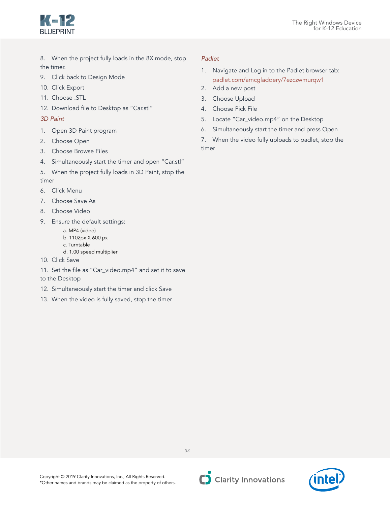

- 8. When the project fully loads in the 8X mode, stop the timer.
- 9. Click back to Design Mode
- 10. Click Export
- 11. Choose .STL
- 12. Download file to Desktop as "Car.stl"
- *3D Paint*
- 1. Open 3D Paint program
- 2. Choose Open
- 3. Choose Browse Files
- 4. Simultaneously start the timer and open "Car.stl"
- 5. When the project fully loads in 3D Paint, stop the timer
- 6. Click Menu
- 7. Choose Save As
- 8. Choose Video
- 9. Ensure the default settings:
	- a. MP4 (video)
	- b. 1102px X 600 px
	- c. Turntable
	- d. 1.00 speed multiplier
- 10. Click Save
- 11. Set the file as "Car\_video.mp4" and set it to save to the Desktop
- 12. Simultaneously start the timer and click Save
- 13. When the video is fully saved, stop the timer

## *Padlet*

- 1. Navigate and Log in to the Padlet browser tab: padlet.com/amcgladdery/7ezczwmurqw1
- 2. Add a new post
- 3. Choose Upload
- 4. Choose Pick File
- 5. Locate "Car\_video.mp4" on the Desktop
- 6. Simultaneously start the timer and press Open

7. When the video fully uploads to padlet, stop the timer

Copyright © 2019 Clarity Innovations, Inc., All Rights Reserved. \*Other names and brands may be claimed as the property of others.